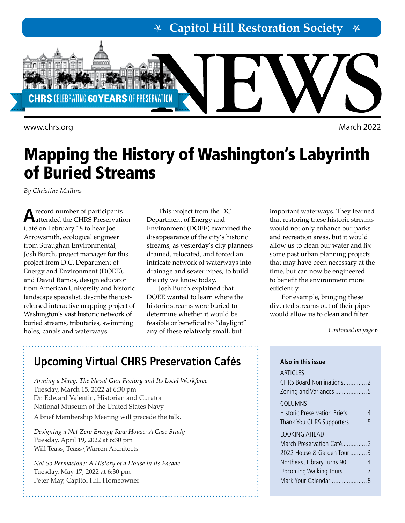**Capitol Hill Restoration Society**



<www.chrs.org> March 2022

## Mapping the History of Washington's Labyrinth of Buried Streams

*By Christine Mullins*

A record number of participants<br> **A**attended the CHRS Preservation Café on February 18 to hear Joe Arrowsmith, ecological engineer from Straughan Environmental, Josh Burch, project manager for this project from D.C. Department of Energy and Environment (DOEE), and David Ramos, design educator from American University and historic landscape specialist, describe the justreleased interactive mapping project of Washington's vast historic network of buried streams, tributaries, swimming holes, canals and waterways.

This project from the DC Department of Energy and Environment (DOEE) examined the disappearance of the city's historic streams, as yesterday's city planners drained, relocated, and forced an intricate network of waterways into drainage and sewer pipes, to build the city we know today.

Josh Burch explained that DOEE wanted to learn where the historic streams were buried to determine whether it would be feasible or beneficial to "daylight" any of these relatively small, but

important waterways. They learned that restoring these historic streams would not only enhance our parks and recreation areas, but it would allow us to clean our water and fix some past urban planning projects that may have been necessary at the time, but can now be engineered to benefit the environment more efficiently.

For example, bringing these diverted streams out of their pipes would allow us to clean and filter

*Continued on page 6* 

## **Upcoming Virtual CHRS Preservation Cafés**

*Arming a Navy: The Naval Gun Factory and Its Local Workforce* Tuesday, March 15, 2022 at 6:30 pm Dr. Edward Valentin, Historian and Curator National Museum of the United States Navy

A brief Membership Meeting will precede the talk.

*Designing a Net Zero Energy Row House: A Case Study* Tuesday, April 19, 2022 at 6:30 pm Will Teass, Teass\Warren Architects

*Not So Permastone: A History of a House in its Facade* Tuesday, May 17, 2022 at 6:30 pm Peter May, Capitol Hill Homeowner

### **Also in this issue ARTICLES** CHRS Board Nominations..............2 Zoning and Variances...................5 COLUMNS Historic Preservation Briefs ...........4 Thank You CHRS Supporters ..........5 LOOKING AHEAD March Preservation Café...............2 2022 House & Garden Tour ..........3 Northeast Library Turns 90............4 Upcoming Walking Tours..............7 Mark Your Calendar......................8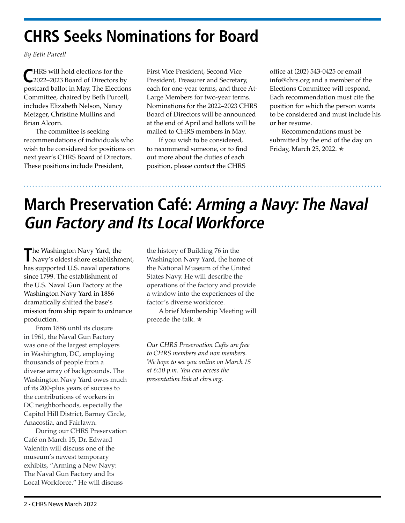## **CHRS Seeks Nominations for Board**

*By Beth Purcell* 

**C**HRS will hold elections for the 2022–2023 Board of Directors by postcard ballot in May. The Elections Committee, chaired by Beth Purcell, includes Elizabeth Nelson, Nancy Metzger, Christine Mullins and Brian Alcorn.

The committee is seeking recommendations of individuals who wish to be considered for positions on next year's CHRS Board of Directors. These positions include President,

First Vice President, Second Vice President, Treasurer and Secretary, each for one-year terms, and three At-Large Members for two-year terms. Nominations for the 2022–2023 CHRS Board of Directors will be announced at the end of April and ballots will be mailed to CHRS members in May.

If you wish to be considered, to recommend someone, or to find out more about the duties of each position, please contact the CHRS

office at (202) 543-0425 or email [info@chrs.org](mailto:info%40chrs.org?subject=) and a member of the Elections Committee will respond. Each recommendation must cite the position for which the person wants to be considered and must include his or her resume.

Recommendations must be submitted by the end of the day on Friday, March 25, 2022. ✯

## **March Preservation Café: Arming a Navy: The Naval Gun Factory and Its Local Workforce**

The Washington Navy Yard, the Navy's oldest shore establishment, has supported U.S. naval operations since 1799. The establishment of the U.S. Naval Gun Factory at the Washington Navy Yard in 1886 dramatically shifted the base's mission from ship repair to ordnance production.

From 1886 until its closure in 1961, the Naval Gun Factory was one of the largest employers in Washington, DC, employing thousands of people from a diverse array of backgrounds. The Washington Navy Yard owes much of its 200-plus years of success to the contributions of workers in DC neighborhoods, especially the Capitol Hill District, Barney Circle, Anacostia, and Fairlawn.

During our CHRS Preservation Café on March 15, Dr. Edward Valentin will discuss one of the museum's newest temporary exhibits, "Arming a New Navy: The Naval Gun Factory and Its Local Workforce." He will discuss

the history of Building 76 in the Washington Navy Yard, the home of the National Museum of the United States Navy. He will describe the operations of the factory and provide a window into the experiences of the factor's diverse workforce.

A brief Membership Meeting will precede the talk.  $\star$ 

*Our CHRS Preservation Cafés are free to CHRS members and non members. We hope to see you online on March 15 at 6:30 p.m. You can access the presentation link at chrs.org.*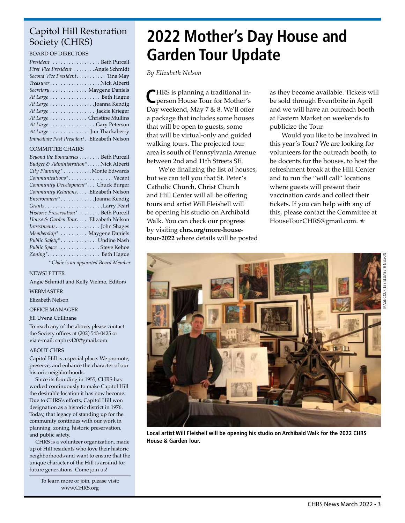### Capitol Hill Restoration Society (CHRS)

BOARD OF DIRECTORS

| President  Beth Purcell                   |
|-------------------------------------------|
| First Vice President Angie Schmidt        |
| Second Vice President Tina May            |
|                                           |
| Secretary Maygene Daniels                 |
|                                           |
| At Large Joanna Kendig                    |
| At Large  Jackie Krieger                  |
| At Large  Christine Mullins               |
| At Large Gary Peterson                    |
| At Large  Jim Thackaberry                 |
| Immediate Past President Elizabeth Nelson |

#### COMMITTEE CHAIRS

| Beyond the Boundaries Beth Purcell    |  |
|---------------------------------------|--|
| Budget & Administration*Nick Alberti  |  |
| City Planning* Monte Edwards          |  |
| Communications*Vacant                 |  |
| Community Development* Chuck Burger   |  |
| Community Relations. Elizabeth Nelson |  |
| Environment*Joanna Kendig             |  |
|                                       |  |
| Historic Preservation*  Beth Purcell  |  |
| House & Garden TourElizabeth Nelson   |  |
|                                       |  |
| Membership* Maygene Daniels           |  |
| Public Safety* Undine Nash            |  |
| Public Space Steve Kehoe              |  |
| Zoning* Beth Hague                    |  |
|                                       |  |

*\* Chair is an appointed Board Member*

#### NEWSLETTER

Angie Schmidt and Kelly Vielmo, Editors

WEBMASTER

Elizabeth Nelson

OFFICE MANAGER

#### Jill Uvena Cullinane

To reach any of the above, please contact the Society offices at (202) 543-0425 or via e-mail: caphrs420@gmail.com.

#### ABOUT CHRS

Capitol Hill is a special place. We promote, preserve, and enhance the character of our historic neighborhoods.

Since its founding in 1955, CHRS has worked continuously to make Capitol Hill the desirable location it has now become. Due to CHRS's efforts, Capitol Hill won designation as a historic district in 1976. Today, that legacy of standing up for the community continues with our work in planning, zoning, historic preservation, and public safety.

CHRS is a volunteer organization, made up of Hill residents who love their historic neighborhoods and want to ensure that the unique character of the Hill is around for future generations. Come join us!

> To learn more or join, please visit: [www.CHRS.org](http://chrs.org/)

## **2022 Mother's Day House and Garden Tour Update**

*By Elizabeth Nelson*

**C**HRS is planning a traditional in-person House Tour for Mother's Day weekend, May 7 & 8. We'll offer a package that includes some houses that will be open to guests, some that will be virtual-only and guided walking tours. The projected tour area is south of Pennsylvania Avenue between 2nd and 11th Streets SE.

We're finalizing the list of houses, but we can tell you that St. Peter's Catholic Church, Christ Church and Hill Center will all be offering tours and artist Will Fleishell will be opening his studio on Archibald Walk. You can check our progress by visiting **[chrs.org/more-house](http://chrs.org/more-house-tour-2022)[tour-2022](http://chrs.org/more-house-tour-2022)** where details will be posted as they become available. Tickets will be sold through Eventbrite in April and we will have an outreach booth at Eastern Market on weekends to publicize the Tour.

Would you like to be involved in this year's Tour? We are looking for volunteers for the outreach booth, to be docents for the houses, to host the refreshment break at the Hill Center and to run the "will call" locations where guests will present their vaccination cards and collect their tickets. If you can help with any of this, please contact the Committee at [HouseTourCHRS@gmail.com.](mailto:HouseTourCHRS%40gmail.com?subject=) \*



**Local artist Will Fleishell will be opening his studio on Archibald Walk for the 2022 CHRS House & Garden Tour.**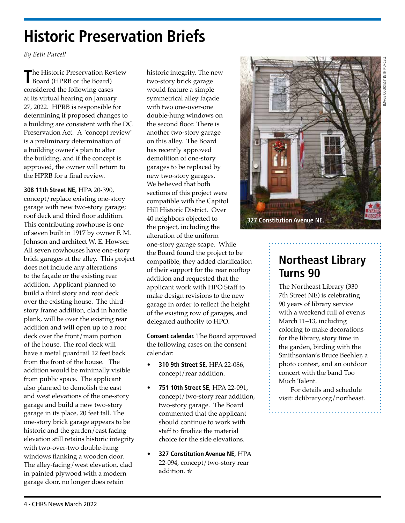# IMAGE COURTESY BETH PURCELL AGE COLIRIESY RETH PURCEL

## **Historic Preservation Briefs**

*By Beth Purcell* 

**T**he Historic Preservation Review Board (HPRB or the Board) considered the following cases at its virtual hearing on January 27, 2022. HPRB is responsible for determining if proposed changes to a building are consistent with the DC Preservation Act. A "concept review" is a preliminary determination of a building owner's plan to alter the building, and if the concept is approved, the owner will return to the HPRB for a final review.

**308 11th Street NE**, HPA 20-390, concept/replace existing one-story garage with new two-story garage; roof deck and third floor addition. This contributing rowhouse is one of seven built in 1917 by owner F. M. Johnson and architect W. E. Howser. All seven rowhouses have one-story brick garages at the alley. This project does not include any alterations to the façade or the existing rear addition. Applicant planned to build a third story and roof deck over the existing house. The thirdstory frame addition, clad in hardie plank, will be over the existing rear addition and will open up to a roof deck over the front/main portion of the house. The roof deck will have a metal guardrail 12 feet back from the front of the house. The addition would be minimally visible from public space. The applicant also planned to demolish the east and west elevations of the one-story garage and build a new two-story garage in its place, 20 feet tall. The one-story brick garage appears to be historic and the garden/east facing elevation still retains historic integrity with two-over-two double-hung windows flanking a wooden door. The alley-facing/west elevation, clad in painted plywood with a modern garage door, no longer does retain

historic integrity. The new two-story brick garage would feature a simple symmetrical alley façade with two one-over-one double-hung windows on the second floor. There is another two-story garage on this alley. The Board has recently approved demolition of one-story garages to be replaced by new two-story garages. We believed that both sections of this project were compatible with the Capitol Hill Historic District. Over 40 neighbors objected to the project, including the alteration of the uniform one-story garage scape. While the Board found the project to be compatible, they added clarification of their support for the rear rooftop addition and requested that the applicant work with HPO Staff to make design revisions to the new garage in order to reflect the height of the existing row of garages, and delegated authority to HPO.

**Consent calendar.** The Board approved the following cases on the consent calendar:

- **310 9th Street SE**, HPA 22-086, concept/rear addition.
- **751 10th Street SE**, HPA 22-091, concept/two-story rear addition, two-story garage. The Board commented that the applicant should continue to work with staff to finalize the material choice for the side elevations.
- **327 Constitution Avenue NE**, HPA 22-094, concept/two-story rear addition. ✯



## **Northeast Library Turns 90**

The Northeast Library (330 7th Street NE) is celebrating 90 years of library service with a weekend full of events March 11–13, including coloring to make decorations for the library, story time in the garden, birding with the Smithsonian's Bruce Beehler, a photo contest, and an outdoor concert with the band Too Much Talent.

For details and schedule visit: [dclibrary.org/northeast.](http://dclibrary.org/northeast)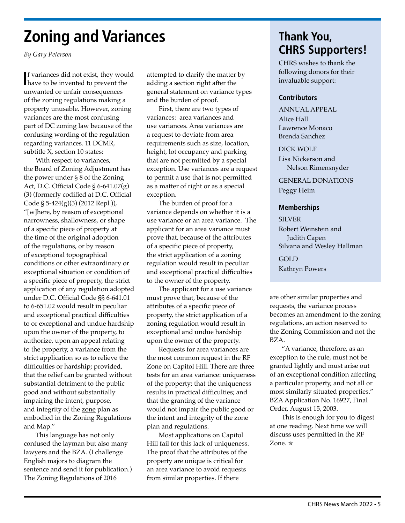## **Zoning and Variances**

*By Gary Peterson*

**I** have to be invented to prevent the f variances did not exist, they would unwanted or unfair consequences of the zoning regulations making a property unusable. However, zoning variances are the most confusing part of DC zoning law because of the confusing wording of the regulation regarding variances. 11 DCMR, subtitle X, section 10 states:

With respect to variances, the Board of Zoning Adjustment has the power under § 8 of the Zoning Act, D.C. Official Code § 6-641.07(g) (3) (formerly codified at D.C. Official Code § 5-424(g)(3) (2012 Repl.)), "[w]here, by reason of exceptional narrowness, shallowness, or shape of a specific piece of property at the time of the original adoption of the regulations, or by reason of exceptional topographical conditions or other extraordinary or exceptional situation or condition of a specific piece of property, the strict application of any regulation adopted under D.C. Official Code §§ 6-641.01 to 6-651.02 would result in peculiar and exceptional practical difficulties to or exceptional and undue hardship upon the owner of the property, to authorize, upon an appeal relating to the property, a variance from the strict application so as to relieve the difficulties or hardship; provided, that the relief can be granted without substantial detriment to the public good and without substantially impairing the intent, purpose, and integrity of the zone plan as embodied in the Zoning Regulations and Map."

This language has not only confused the layman but also many lawyers and the BZA. (I challenge English majors to diagram the sentence and send it for publication.) The Zoning Regulations of 2016

attempted to clarify the matter by adding a section right after the general statement on variance types and the burden of proof.

First, there are two types of variances: area variances and use variances. Area variances are a request to deviate from area requirements such as size, location, height, lot occupancy and parking that are not permitted by a special exception. Use variances are a request to permit a use that is not permitted as a matter of right or as a special exception.

The burden of proof for a variance depends on whether it is a use variance or an area variance. The applicant for an area variance must prove that, because of the attributes of a specific piece of property, the strict application of a zoning regulation would result in peculiar and exceptional practical difficulties to the owner of the property.

The applicant for a use variance must prove that, because of the attributes of a specific piece of property, the strict application of a zoning regulation would result in exceptional and undue hardship upon the owner of the property.

Requests for area variances are the most common request in the RF Zone on Capitol Hill. There are three tests for an area variance: uniqueness of the property; that the uniqueness results in practical difficulties; and that the granting of the variance would not impair the public good or the intent and integrity of the zone plan and regulations.

Most applications on Capitol Hill fail for this lack of uniqueness. The proof that the attributes of the property are unique is critical for an area variance to avoid requests from similar properties. If there

## **Thank You, CHRS Supporters!**

CHRS wishes to thank the following donors for their invaluable support:

#### **Contributors**

ANNUAL APPEAL Alice Hall Lawrence Monaco Brenda Sanchez

#### DICK WOLF

Lisa Nickerson and Nelson Rimensnyder

GENERAL DONATIONS

Peggy Heim

#### **Memberships**

**SILVER** Robert Weinstein and Judith Capen Silvana and Wesley Hallman GOLD

Kathryn Powers

are other similar properties and requests, the variance process becomes an amendment to the zoning regulations, an action reserved to the Zoning Commission and not the BZA.

"A variance, therefore, as an exception to the rule, must not be granted lightly and must arise out of an exceptional condition affecting a particular property, and not all or most similarly situated properties." BZA Application No. 16927, Final Order, August 15, 2003.

This is enough for you to digest at one reading. Next time we will discuss uses permitted in the RF Zone. ✯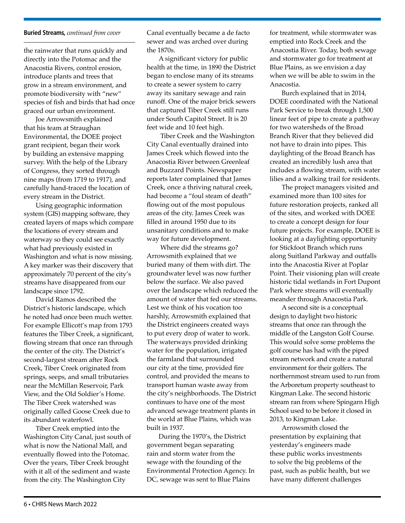#### **Buried Streams,** *continued from cover*

the rainwater that runs quickly and directly into the Potomac and the Anacostia Rivers, control erosion, introduce plants and trees that grow in a stream environment, and promote biodiversity with "new" species of fish and birds that had once graced our urban environment.

Joe Arrowsmith explained that his team at Straughan Environmental, the DOEE project grant recipient, began their work by building an extensive mapping survey. With the help of the Library of Congress, they sorted through nine maps (from 1719 to 1917), and carefully hand-traced the location of every stream in the District.

Using geographic information system (GIS) mapping software, they created layers of maps which compare the locations of every stream and waterway so they could see exactly what had previously existed in Washington and what is now missing. A key marker was their discovery that approximately 70 percent of the city's streams have disappeared from our landscape since 1792.

David Ramos described the District's historic landscape, which he noted had once been much wetter. For example Ellicott's map from 1793 features the Tiber Creek, a significant, flowing stream that once ran through the center of the city. The District's second-largest stream after Rock Creek, Tiber Creek originated from springs, seeps, and small tributaries near the McMillan Reservoir, Park View, and the Old Soldier's Home. The Tiber Creek watershed was originally called Goose Creek due to its abundant waterfowl.

Tiber Creek emptied into the Washington City Canal, just south of what is now the National Mall, and eventually flowed into the Potomac. Over the years, Tiber Creek brought with it all of the sediment and waste from the city. The Washington City

Canal eventually became a de facto sewer and was arched over during the 1870s.

A significant victory for public health at the time, in 1890 the District began to enclose many of its streams to create a sewer system to carry away its sanitary sewage and rain runoff. One of the major brick sewers that captured Tiber Creek still runs under South Capitol Street. It is 20 feet wide and 10 feet high.

 Tiber Creek and the Washington City Canal eventually drained into James Creek which flowed into the Anacostia River between Greenleaf and Buzzard Points. Newspaper reports later complained that James Creek, once a thriving natural creek, had become a "foul steam of death" flowing out of the most populous areas of the city. James Creek was filled in around 1950 due to its unsanitary conditions and to make way for future development.

 Where did the streams go? Arrowsmith explained that we buried many of them with dirt. The groundwater level was now further below the surface. We also paved over the landscape which reduced the amount of water that fed our streams. Lest we think of his vocation too harshly, Arrowsmith explained that the District engineers created ways to put every drop of water to work. The waterways provided drinking water for the population, irrigated the farmland that surrounded our city at the time, provided fire control, and provided the means to transport human waste away from the city's neighborhoods. The District continues to have one of the most advanced sewage treatment plants in the world at Blue Plains, which was built in 1937.

During the 1970's, the District government began separating rain and storm water from the sewage with the founding of the Environmental Protection Agency. In DC, sewage was sent to Blue Plains

for treatment, while stormwater was emptied into Rock Creek and the Anacostia River. Today, both sewage and stormwater go for treatment at Blue Plains, as we envision a day when we will be able to swim in the Anacostia.

Burch explained that in 2014, DOEE coordinated with the National Park Service to break through 1,500 linear feet of pipe to create a pathway for two watersheds of the Broad Branch River that they believed did not have to drain into pipes. This daylighting of the Broad Branch has created an incredibly lush area that includes a flowing stream, with water lilies and a walking trail for residents.

The project managers visited and examined more than 100 sites for future restoration projects, ranked all of the sites, and worked with DOEE to create a concept design for four future projects. For example, DOEE is looking at a daylighting opportunity for Stickfoot Branch which runs along Suitland Parkway and outfalls into the Anacostia River at Poplar Point. Their visioning plan will create historic tidal wetlands in Fort Dupont Park where streams will eventually meander through Anacostia Park.

A second site is a conceptual design to daylight two historic streams that once ran through the middle of the Langston Golf Course. This would solve some problems the golf course has had with the piped stream network and create a natural environment for their golfers. The northernmost stream used to run from the Arboretum property southeast to Kingman Lake. The second historic stream ran from where Spingarn High School used to be before it closed in 2013, to Kingman Lake.

Arrowsmith closed the presentation by explaining that yesterday's engineers made these public works investments to solve the big problems of the past, such as public health, but we have many different challenges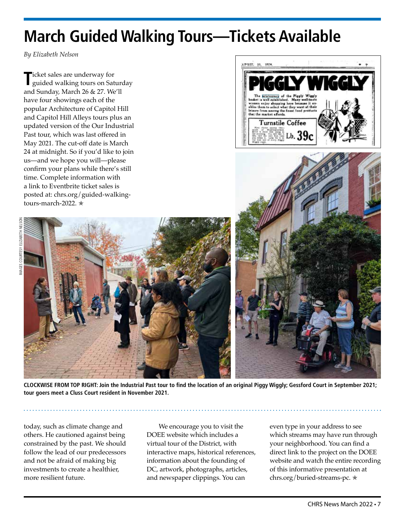## **March Guided Walking Tours—Tickets Available**

*By Elizabeth Nelson*

**T**icket sales are underway for guided walking tours on Saturday and Sunday, March 26 & 27. We'll have four showings each of the popular Architecture of Capitol Hill and Capitol Hill Alleys tours plus an updated version of the Our Industrial Past tour, which was last offered in May 2021. The cut-off date is March 24 at midnight. So if you'd like to join us—and we hope you will—please confirm your plans while there's still time. Complete information with a link to Eventbrite ticket sales is posted at: [chrs.org/guided-walking](http://chrs.org/guided-walking-tours-march-2022)[tours-march-2022](http://chrs.org/guided-walking-tours-march-2022). ✯



**CLOCKWISE FROM TOP RIGHT: Join the Industrial Past tour to find the location of an original Piggy Wiggly; Gessford Court in September 2021; tour goers meet a Cluss Court resident in November 2021.**

today, such as climate change and others. He cautioned against being constrained by the past. We should follow the lead of our predecessors and not be afraid of making big investments to create a healthier, more resilient future.

We encourage you to visit the DOEE website which includes a virtual tour of the District, with interactive maps, historical references, information about the founding of DC, artwork, photographs, articles, and newspaper clippings. You can

even type in your address to see which streams may have run through your neighborhood. You can find a direct link to the project on the DOEE website and watch the entire recording of this informative presentation at chrs.org/buried-streams-pc. ✯